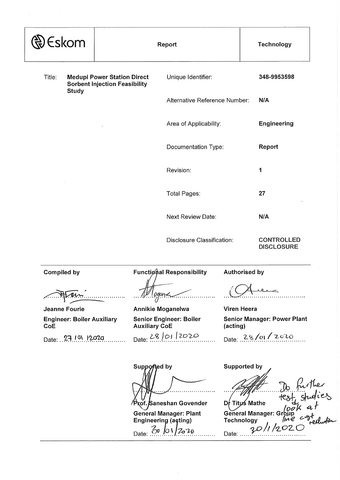|                                                                            |                                                                                                                                                                      | Technology                                                                                                                                                                        |
|----------------------------------------------------------------------------|----------------------------------------------------------------------------------------------------------------------------------------------------------------------|-----------------------------------------------------------------------------------------------------------------------------------------------------------------------------------|
| Unique Identifier:                                                         |                                                                                                                                                                      | 348-9953598                                                                                                                                                                       |
|                                                                            |                                                                                                                                                                      | N/A                                                                                                                                                                               |
|                                                                            |                                                                                                                                                                      | <b>Engineering</b>                                                                                                                                                                |
|                                                                            |                                                                                                                                                                      | Report                                                                                                                                                                            |
| Revision:                                                                  |                                                                                                                                                                      | 1                                                                                                                                                                                 |
| Total Pages:                                                               |                                                                                                                                                                      | 27                                                                                                                                                                                |
| <b>Next Review Date:</b>                                                   |                                                                                                                                                                      | N/A                                                                                                                                                                               |
|                                                                            |                                                                                                                                                                      | <b>CONTROLLED</b><br><b>DISCLOSURE</b>                                                                                                                                            |
|                                                                            |                                                                                                                                                                      |                                                                                                                                                                                   |
|                                                                            |                                                                                                                                                                      |                                                                                                                                                                                   |
|                                                                            | (acting)                                                                                                                                                             | <b>Senior Manager: Power Plant</b>                                                                                                                                                |
|                                                                            |                                                                                                                                                                      | Date: 28/01/2020                                                                                                                                                                  |
|                                                                            |                                                                                                                                                                      | to further<br>test studies                                                                                                                                                        |
| <b>Medupi Power Station Direct</b><br><b>Sorbent Injection Feasibility</b> | Report<br><b>Functional Responsibility</b><br><b>Annikie Moganelwa</b><br><b>Senior Engineer: Boiler</b><br><b>Auxiliary CoE</b><br>Date: 28/01/2020<br>Supported by | Alternative Reference Number:<br>Area of Applicability:<br>Documentation Type:<br>Disclosure Classification:<br><b>Authorised by</b><br><b>Viren Heera</b><br><b>Supported by</b> |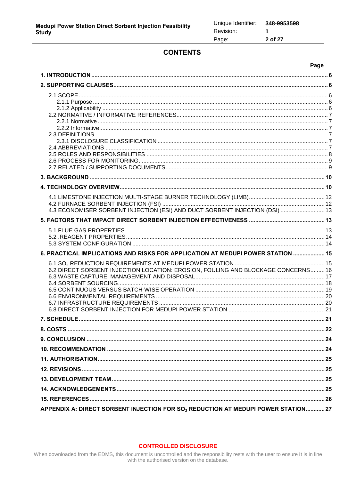# **CONTENTS**

|                                                                                               | Page |
|-----------------------------------------------------------------------------------------------|------|
|                                                                                               |      |
|                                                                                               |      |
|                                                                                               |      |
|                                                                                               |      |
|                                                                                               |      |
|                                                                                               |      |
|                                                                                               |      |
|                                                                                               |      |
|                                                                                               |      |
|                                                                                               |      |
|                                                                                               |      |
|                                                                                               |      |
|                                                                                               |      |
|                                                                                               |      |
|                                                                                               |      |
| 4.3 ECONOMISER SORBENT INJECTION (ESI) AND DUCT SORBENT INJECTION (DSI)  13                   |      |
|                                                                                               |      |
|                                                                                               |      |
|                                                                                               |      |
| 6. PRACTICAL IMPLICATIONS AND RISKS FOR APPLICATION AT MEDUPI POWER STATION  15               |      |
|                                                                                               |      |
| 6.2 DIRECT SORBENT INJECTION LOCATION: EROSION, FOULING AND BLOCKAGE CONCERNS 16              |      |
|                                                                                               |      |
|                                                                                               |      |
|                                                                                               |      |
|                                                                                               |      |
|                                                                                               |      |
|                                                                                               |      |
|                                                                                               |      |
|                                                                                               |      |
|                                                                                               |      |
|                                                                                               |      |
|                                                                                               |      |
|                                                                                               |      |
|                                                                                               |      |
| APPENDIX A: DIRECT SORBENT INJECTION FOR SO <sub>2</sub> REDUCTION AT MEDUPI POWER STATION 27 |      |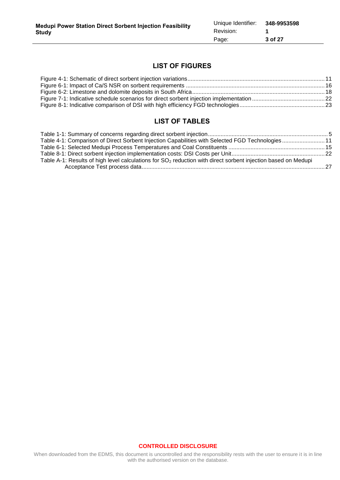# **LIST OF FIGURES**

# **LIST OF TABLES**

| Table 4-1: Comparison of Direct Sorbent Injection Capabilities with Selected FGD Technologies 11                          |  |
|---------------------------------------------------------------------------------------------------------------------------|--|
|                                                                                                                           |  |
|                                                                                                                           |  |
| Table A-1: Results of high level calculations for SO <sub>2</sub> reduction with direct sorbent injection based on Medupi |  |
|                                                                                                                           |  |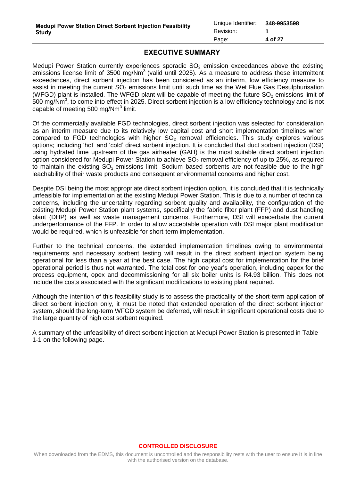# **EXECUTIVE SUMMARY**

Medupi Power Station currently experiences sporadic  $SO<sub>2</sub>$  emission exceedances above the existing emissions license limit of 3500 mg/Nm<sup>3</sup> (valid until 2025). As a measure to address these intermittent exceedances, direct sorbent injection has been considered as an interim, low efficiency measure to assist in meeting the current  $SO<sub>2</sub>$  emissions limit until such time as the Wet Flue Gas Desulphurisation (WFGD) plant is installed. The WFGD plant will be capable of meeting the future  $SO<sub>2</sub>$  emissions limit of 500 mg/Nm<sup>3</sup>, to come into effect in 2025. Direct sorbent injection is a low efficiency technology and is not capable of meeting 500 mg/Nm<sup>3</sup> limit.

Of the commercially available FGD technologies, direct sorbent injection was selected for consideration as an interim measure due to its relatively low capital cost and short implementation timelines when compared to FGD technologies with higher  $SO<sub>2</sub>$  removal efficiencies. This study explores various options; including 'hot' and 'cold' direct sorbent injection. It is concluded that duct sorbent injection (DSI) using hydrated lime upstream of the gas airheater (GAH) is the most suitable direct sorbent injection option considered for Medupi Power Station to achieve  $SO<sub>2</sub>$  removal efficiency of up to 25%, as required to maintain the existing  $SO<sub>2</sub>$  emissions limit. Sodium based sorbents are not feasible due to the high leachability of their waste products and consequent environmental concerns and higher cost.

Despite DSI being the most appropriate direct sorbent injection option, it is concluded that it is technically unfeasible for implementation at the existing Medupi Power Station. This is due to a number of technical concerns, including the uncertainty regarding sorbent quality and availability, the configuration of the existing Medupi Power Station plant systems, specifically the fabric filter plant (FFP) and dust handling plant (DHP) as well as waste management concerns. Furthermore, DSI will exacerbate the current underperformance of the FFP. In order to allow acceptable operation with DSI major plant modification would be required, which is unfeasible for short-term implementation.

Further to the technical concerns, the extended implementation timelines owing to environmental requirements and necessary sorbent testing will result in the direct sorbent injection system being operational for less than a year at the best case. The high capital cost for implementation for the brief operational period is thus not warranted. The total cost for one year's operation, including capex for the process equipment, opex and decommissioning for all six boiler units is R4.93 billion. This does not include the costs associated with the significant modifications to existing plant required.

Although the intention of this feasibility study is to assess the practicality of the short-term application of direct sorbent injection only, it must be noted that extended operation of the direct sorbent injection system, should the long-term WFGD system be deferred, will result in significant operational costs due to the large quantity of high cost sorbent required.

A summary of the unfeasibility of direct sorbent injection at Medupi Power Station is presented in [Table](#page-4-0)  [1-1](#page-4-0) on the following page.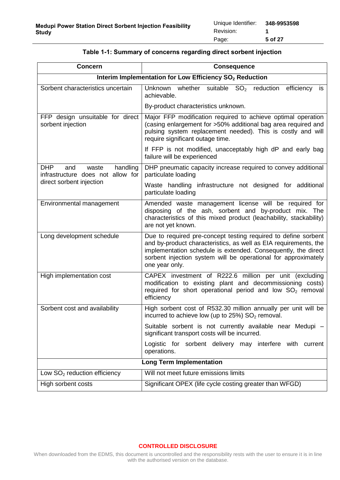<span id="page-4-0"></span>

| <b>Concern</b>                                                              | <b>Consequence</b>                                                                                                                                                                                                                                                                      |  |  |  |
|-----------------------------------------------------------------------------|-----------------------------------------------------------------------------------------------------------------------------------------------------------------------------------------------------------------------------------------------------------------------------------------|--|--|--|
| Interim Implementation for Low Efficiency SO <sub>2</sub> Reduction         |                                                                                                                                                                                                                                                                                         |  |  |  |
| Sorbent characteristics uncertain                                           | whether<br>suitable SO <sub>2</sub> reduction<br>Unknown<br>efficiency<br>is<br>achievable.                                                                                                                                                                                             |  |  |  |
|                                                                             | By-product characteristics unknown.                                                                                                                                                                                                                                                     |  |  |  |
| FFP design unsuitable for direct<br>sorbent injection                       | Major FFP modification required to achieve optimal operation<br>(casing enlargement for >50% additional bag area required and<br>pulsing system replacement needed). This is costly and will<br>require significant outage time.                                                        |  |  |  |
|                                                                             | If FFP is not modified, unacceptably high dP and early bag<br>failure will be experienced                                                                                                                                                                                               |  |  |  |
| <b>DHP</b><br>handling<br>and<br>waste<br>infrastructure does not allow for | DHP pneumatic capacity increase required to convey additional<br>particulate loading                                                                                                                                                                                                    |  |  |  |
| direct sorbent injection                                                    | Waste handling infrastructure not designed for additional<br>particulate loading                                                                                                                                                                                                        |  |  |  |
| Environmental management                                                    | Amended waste management license will be required for<br>disposing of the ash, sorbent and by-product mix. The<br>characteristics of this mixed product (leachability, stackability)<br>are not yet known.                                                                              |  |  |  |
| Long development schedule                                                   | Due to required pre-concept testing required to define sorbent<br>and by-product characteristics, as well as EIA requirements, the<br>implementation schedule is extended. Consequently, the direct<br>sorbent injection system will be operational for approximately<br>one year only. |  |  |  |
| High implementation cost                                                    | CAPEX investment of R222.6 million per unit (excluding<br>modification to existing plant and decommissioning costs)<br>required for short operational period and low $SO2$ removal<br>efficiency                                                                                        |  |  |  |
| Sorbent cost and availability                                               | High sorbent cost of R532.30 million annually per unit will be<br>incurred to achieve low (up to $25\%$ ) SO <sub>2</sub> removal.                                                                                                                                                      |  |  |  |
|                                                                             | Suitable sorbent is not currently available near Medupi -<br>significant transport costs will be incurred.                                                                                                                                                                              |  |  |  |
|                                                                             | Logistic for sorbent delivery may interfere with current<br>operations.                                                                                                                                                                                                                 |  |  |  |
|                                                                             | <b>Long Term Implementation</b>                                                                                                                                                                                                                                                         |  |  |  |
| Low $SO2$ reduction efficiency                                              | Will not meet future emissions limits                                                                                                                                                                                                                                                   |  |  |  |
| High sorbent costs                                                          | Significant OPEX (life cycle costing greater than WFGD)                                                                                                                                                                                                                                 |  |  |  |

## **Table 1-1: Summary of concerns regarding direct sorbent injection**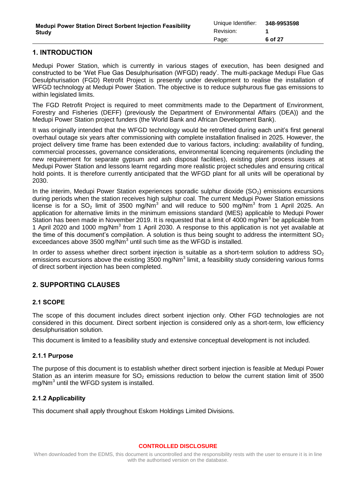# <span id="page-5-0"></span>**1. INTRODUCTION**

Medupi Power Station, which is currently in various stages of execution, has been designed and constructed to be 'Wet Flue Gas Desulphurisation (WFGD) ready'. The multi-package Medupi Flue Gas Desulphurisation (FGD) Retrofit Project is presently under development to realise the installation of WFGD technology at Medupi Power Station. The objective is to reduce sulphurous flue gas emissions to within legislated limits.

The FGD Retrofit Project is required to meet commitments made to the Department of Environment, Forestry and Fisheries (DEFF) (previously the Department of Environmental Affairs (DEA)) and the Medupi Power Station project funders (the World Bank and African Development Bank).

It was originally intended that the WFGD technology would be retrofitted during each unit's first general overhaul outage six years after commissioning with complete installation finalised in 2025. However, the project delivery time frame has been extended due to various factors, including: availability of funding, commercial processes, governance considerations, environmental licencing requirements (including the new requirement for separate gypsum and ash disposal facilities), existing plant process issues at Medupi Power Station and lessons learnt regarding more realistic project schedules and ensuring critical hold points. It is therefore currently anticipated that the WFGD plant for all units will be operational by 2030.

In the interim, Medupi Power Station experiences sporadic sulphur dioxide  $(SO<sub>2</sub>)$  emissions excursions during periods when the station receives high sulphur coal. The current Medupi Power Station emissions license is for a  $SO_2$  limit of 3500 mg/Nm<sup>3</sup> and will reduce to 500 mg/Nm<sup>3</sup> from 1 April 2025. An application for alternative limits in the minimum emissions standard (MES) applicable to Medupi Power Station has been made in November 2019. It is requested that a limit of 4000 mg/Nm<sup>3</sup> be applicable from 1 April 2020 and 1000 mg/Nm<sup>3</sup> from 1 April 2030. A response to this application is not yet available at the time of this document's compilation. A solution is thus being sought to address the intermittent  $SO<sub>2</sub>$ exceedances above 3500 mg/Nm<sup>3</sup> until such time as the WFGD is installed.

In order to assess whether direct sorbent injection is suitable as a short-term solution to address  $SO<sub>2</sub>$ emissions excursions above the existing 3500 mg/Nm<sup>3</sup> limit, a feasibility study considering various forms of direct sorbent injection has been completed.

# <span id="page-5-1"></span>**2. SUPPORTING CLAUSES**

### <span id="page-5-2"></span>**2.1 SCOPE**

The scope of this document includes direct sorbent injection only. Other FGD technologies are not considered in this document. Direct sorbent injection is considered only as a short-term, low efficiency desulphurisation solution.

This document is limited to a feasibility study and extensive conceptual development is not included.

# <span id="page-5-3"></span>**2.1.1 Purpose**

The purpose of this document is to establish whether direct sorbent injection is feasible at Medupi Power Station as an interim measure for  $SO<sub>2</sub>$  emissions reduction to below the current station limit of 3500 mg/Nm<sup>3</sup> until the WFGD system is installed.

# <span id="page-5-4"></span>**2.1.2 Applicability**

This document shall apply throughout Eskom Holdings Limited Divisions.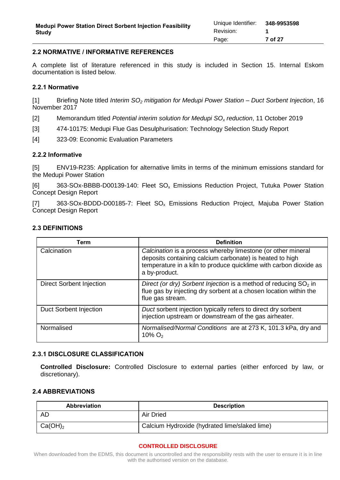### <span id="page-6-0"></span>**2.2 NORMATIVE / INFORMATIVE REFERENCES**

A complete list of literature referenced in this study is included in Section [15.](#page-25-0) Internal Eskom documentation is listed below.

### <span id="page-6-1"></span>**2.2.1 Normative**

[1] Briefing Note titled *Interim SO<sup>2</sup> mitigation for Medupi Power Station – Duct Sorbent Injection*, 16 November 2017

[2] Memorandum titled *Potential interim solution for Medupi SO<sup>x</sup> reduction*, 11 October 2019

- <span id="page-6-6"></span>[3] 474-10175: Medupi Flue Gas Desulphurisation: Technology Selection Study Report
- <span id="page-6-7"></span>[4] 323-09: Economic Evaluation Parameters

### <span id="page-6-2"></span>**2.2.2 Informative**

[5] ENV19-R235: Application for alternative limits in terms of the minimum emissions standard for the Medupi Power Station

[6] 363-SOx-BBBB-D00139-140: Fleet SO<sub>x</sub> Emissions Reduction Project, Tutuka Power Station Concept Design Report

[7] 363-SOx-BDDD-D00185-7: Fleet SO<sub>x</sub> Emissions Reduction Project, Majuba Power Station Concept Design Report

### <span id="page-6-3"></span>**2.3 DEFINITIONS**

| Term                            | <b>Definition</b>                                                                                                                                                                                              |
|---------------------------------|----------------------------------------------------------------------------------------------------------------------------------------------------------------------------------------------------------------|
| Calcination                     | Calcination is a process whereby limestone (or other mineral<br>deposits containing calcium carbonate) is heated to high<br>temperature in a kiln to produce quicklime with carbon dioxide as<br>a by-product. |
| <b>Direct Sorbent Injection</b> | Direct (or dry) Sorbent Injection is a method of reducing $SO2$ in<br>flue gas by injecting dry sorbent at a chosen location within the<br>flue gas stream.                                                    |
| Duct Sorbent Injection          | Duct sorbent injection typically refers to direct dry sorbent<br>injection upstream or downstream of the gas airheater.                                                                                        |
| Normalised                      | Normalised/Normal Conditions are at 273 K, 101.3 kPa, dry and<br>$10\%$ O <sub>2</sub>                                                                                                                         |

### <span id="page-6-4"></span>**2.3.1 DISCLOSURE CLASSIFICATION**

**Controlled Disclosure:** Controlled Disclosure to external parties (either enforced by law, or discretionary).

### <span id="page-6-5"></span>**2.4 ABBREVIATIONS**

| <b>Abbreviation</b> | <b>Description</b>                            |
|---------------------|-----------------------------------------------|
| <b>AD</b>           | <b>Air Dried</b>                              |
| $Ca(OH)_2$          | Calcium Hydroxide (hydrated lime/slaked lime) |

#### **CONTROLLED DISCLOSURE**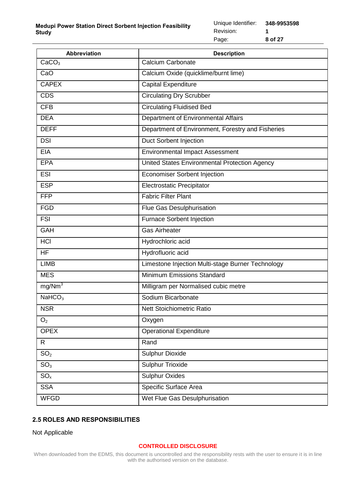| <b>Abbreviation</b> | <b>Description</b>                                |
|---------------------|---------------------------------------------------|
| CaCO <sub>3</sub>   | Calcium Carbonate                                 |
| CaO                 | Calcium Oxide (quicklime/burnt lime)              |
| <b>CAPEX</b>        | <b>Capital Expenditure</b>                        |
| <b>CDS</b>          | <b>Circulating Dry Scrubber</b>                   |
| <b>CFB</b>          | <b>Circulating Fluidised Bed</b>                  |
| <b>DEA</b>          | Department of Environmental Affairs               |
| <b>DEFF</b>         | Department of Environment, Forestry and Fisheries |
| <b>DSI</b>          | <b>Duct Sorbent Injection</b>                     |
| <b>EIA</b>          | <b>Environmental Impact Assessment</b>            |
| <b>EPA</b>          | United States Environmental Protection Agency     |
| <b>ESI</b>          | <b>Economiser Sorbent Injection</b>               |
| <b>ESP</b>          | <b>Electrostatic Precipitator</b>                 |
| <b>FFP</b>          | <b>Fabric Filter Plant</b>                        |
| <b>FGD</b>          | Flue Gas Desulphurisation                         |
| <b>FSI</b>          | <b>Furnace Sorbent Injection</b>                  |
| <b>GAH</b>          | <b>Gas Airheater</b>                              |
| <b>HCI</b>          | Hydrochloric acid                                 |
| <b>HF</b>           | Hydrofluoric acid                                 |
| <b>LIMB</b>         | Limestone Injection Multi-stage Burner Technology |
| <b>MES</b>          | Minimum Emissions Standard                        |
| mg/Nm <sup>3</sup>  | Milligram per Normalised cubic metre              |
| NaHCO <sub>3</sub>  | Sodium Bicarbonate                                |
| <b>NSR</b>          | <b>Nett Stoichiometric Ratio</b>                  |
| O <sub>2</sub>      | Oxygen                                            |
| <b>OPEX</b>         | <b>Operational Expenditure</b>                    |
| R.                  | Rand                                              |
| SO <sub>2</sub>     | <b>Sulphur Dioxide</b>                            |
| SO <sub>3</sub>     | <b>Sulphur Trioxide</b>                           |
| $SO_{x}$            | <b>Sulphur Oxides</b>                             |
| <b>SSA</b>          | Specific Surface Area                             |
| <b>WFGD</b>         | Wet Flue Gas Desulphurisation                     |

# <span id="page-7-0"></span>**2.5 ROLES AND RESPONSIBILITIES**

Not Applicable

### **CONTROLLED DISCLOSURE**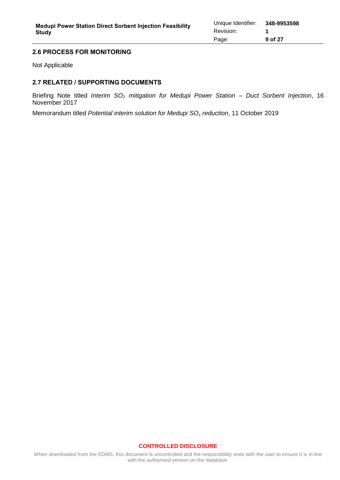### <span id="page-8-0"></span>**2.6 PROCESS FOR MONITORING**

Not Applicable

## <span id="page-8-1"></span>**2.7 RELATED / SUPPORTING DOCUMENTS**

Briefing Note titled *Interim SO<sup>2</sup> mitigation for Medupi Power Station – Duct Sorbent Injection*, 16 November 2017

Memorandum titled *Potential interim solution for Medupi SO<sup>x</sup> reduction*, 11 October 2019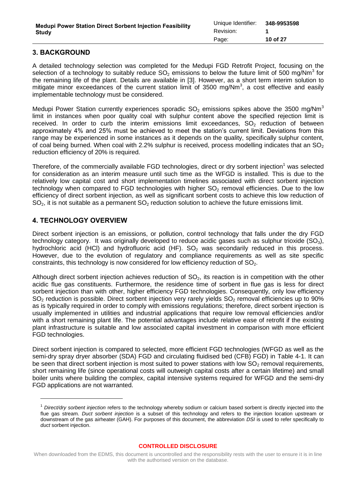# <span id="page-9-0"></span>**3. BACKGROUND**

A detailed technology selection was completed for the Medupi FGD Retrofit Project, focusing on the selection of a technology to suitably reduce  $SO_2$  emissions to below the future limit of 500 mg/Nm<sup>3</sup> for the remaining life of the plant. Details are available in [\[3\].](#page-6-6) However, as a short term interim solution to mitigate minor exceedances of the current station limit of 3500 mg/Nm<sup>3</sup>, a cost effective and easily implementable technology must be considered.

Medupi Power Station currently experiences sporadic  $SO<sub>2</sub>$  emissions spikes above the 3500 mg/Nm<sup>3</sup> limit in instances when poor quality coal with sulphur content above the specified rejection limit is received. In order to curb the interim emissions limit exceedances,  $SO<sub>2</sub>$  reduction of between approximately 4% and 25% must be achieved to meet the station's current limit. Deviations from this range may be experienced in some instances as it depends on the quality, specifically sulphur content, of coal being burned. When coal with 2.2% sulphur is received, process modelling indicates that an  $SO_2$ reduction efficiency of 20% is required.

Therefore, of the commercially available FGD technologies, direct or dry sorbent injection<sup>1</sup> was selected for consideration as an interim measure until such time as the WFGD is installed. This is due to the relatively low capital cost and short implementation timelines associated with direct sorbent injection technology when compared to FGD technologies with higher  $SO<sub>2</sub>$  removal efficiencies. Due to the low efficiency of direct sorbent injection, as well as significant sorbent costs to achieve this low reduction of  $SO<sub>2</sub>$ , it is not suitable as a permanent  $SO<sub>2</sub>$  reduction solution to achieve the future emissions limit.

# <span id="page-9-1"></span>**4. TECHNOLOGY OVERVIEW**

Direct sorbent injection is an emissions, or pollution, control technology that falls under the dry FGD technology category. It was originally developed to reduce acidic gases such as sulphur trioxide  $(SO_3)$ , hydrochloric acid (HCI) and hydrofluoric acid (HF).  $SO<sub>2</sub>$  was secondarily reduced in this process. However, due to the evolution of regulatory and compliance requirements as well as site specific constraints, this technology is now considered for low efficiency reduction of  $SO<sub>2</sub>$ .

Although direct sorbent injection achieves reduction of  $SO<sub>2</sub>$ , its reaction is in competition with the other acidic flue gas constituents. Furthermore, the residence time of sorbent in flue gas is less for direct sorbent injection than with other, higher efficiency FGD technologies. Consequently, only low efficiency  $SO<sub>2</sub>$  reduction is possible. Direct sorbent injection very rarely yields  $SO<sub>2</sub>$  removal efficiencies up to 90% as is typically required in order to comply with emissions regulations; therefore, direct sorbent injection is usually implemented in utilities and industrial applications that require low removal efficiencies and/or with a short remaining plant life. The potential advantages include relative ease of retrofit if the existing plant infrastructure is suitable and low associated capital investment in comparison with more efficient FGD technologies.

Direct sorbent injection is compared to selected, more efficient FGD technologies (WFGD as well as the semi-dry spray dryer absorber (SDA) FGD and circulating fluidised bed (CFB) FGD) in [Table 4-1.](#page-10-1) It can be seen that direct sorbent injection is most suited to power stations with low  $SO<sub>2</sub>$  removal requirements, short remaining life (since operational costs will outweigh capital costs after a certain lifetime) and small boiler units where building the complex, capital intensive systems required for WFGD and the semi-dry FGD applications are not warranted.

<sup>1</sup> *Direct/dry sorbent injection* refers to the technology whereby sodium or calcium based sorbent is directly injected into the flue gas stream. *Duct sorbent injection* is a subset of this technology and refers to the injection location upstream or downstream of the gas airheater (GAH). For purposes of this document, the abbreviation *DSI* is used to refer specifically to *duct* sorbent injection.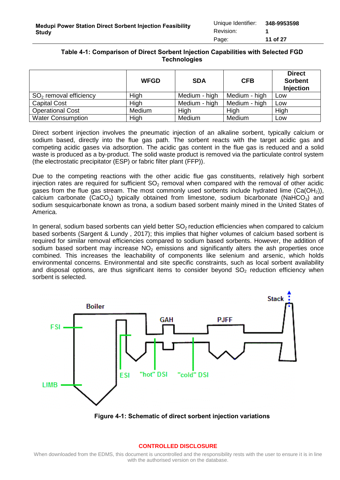## <span id="page-10-1"></span>**Table 4-1: Comparison of Direct Sorbent Injection Capabilities with Selected FGD Technologies**

|                          | <b>WFGD</b> | <b>SDA</b>    | <b>CFB</b>    | <b>Direct</b><br><b>Sorbent</b><br><b>Injection</b> |
|--------------------------|-------------|---------------|---------------|-----------------------------------------------------|
| $SO2$ removal efficiency | High        | Medium - high | Medium - high | Low                                                 |
| <b>Capital Cost</b>      | High        | Medium - high | Medium - high | Low                                                 |
| <b>Operational Cost</b>  | Medium      | High          | High          | High                                                |
| <b>Water Consumption</b> | High        | Medium        | Medium        | Low                                                 |

Direct sorbent injection involves the pneumatic injection of an alkaline sorbent, typically calcium or sodium based, directly into the flue gas path. The sorbent reacts with the target acidic gas and competing acidic gases via adsorption. The acidic gas content in the flue gas is reduced and a solid waste is produced as a by-product. The solid waste product is removed via the particulate control system (the electrostatic precipitator (ESP) or fabric filter plant (FFP)).

Due to the competing reactions with the other acidic flue gas constituents, relatively high sorbent injection rates are required for sufficient  $SO<sub>2</sub>$  removal when compared with the removal of other acidic gases from the flue gas stream. The most commonly used sorbents include hydrated lime (Ca(OH<sub>2</sub>)), calcium carbonate (CaCO<sub>3</sub>) typically obtained from limestone, sodium bicarbonate (NaHCO<sub>3</sub>) and sodium sesquicarbonate known as trona, a sodium based sorbent mainly mined in the United States of America.

In general, sodium based sorbents can yield better  $SO<sub>2</sub>$  reduction efficiencies when compared to calcium based sorbents (Sargent & Lundy , 2017); this implies that higher volumes of calcium based sorbent is required for similar removal efficiencies compared to sodium based sorbents. However, the addition of sodium based sorbent may increase  $NO<sub>2</sub>$  emissions and significantly alters the ash properties once combined. This increases the leachability of components like selenium and arsenic, which holds environmental concerns. Environmental and site specific constraints, such as local sorbent availability and disposal options, are thus significant items to consider beyond  $SO<sub>2</sub>$  reduction efficiency when sorbent is selected.



<span id="page-10-0"></span>**Figure 4-1: Schematic of direct sorbent injection variations**

#### **CONTROLLED DISCLOSURE**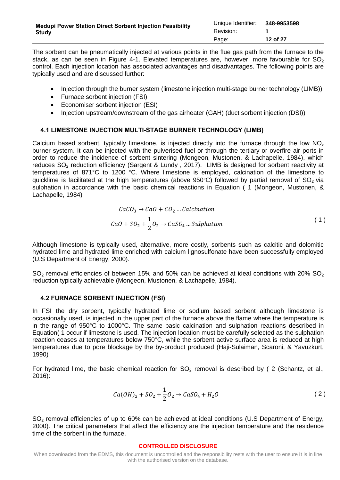The sorbent can be pneumatically injected at various points in the flue gas path from the furnace to the stack, as can be seen in [Figure 4-1.](#page-10-0) Elevated temperatures are, however, more favourable for  $SO<sub>2</sub>$ control. Each injection location has associated advantages and disadvantages. The following points are typically used and are discussed further:

- Injection through the burner system (limestone injection multi-stage burner technology (LIMB))
- Furnace sorbent injection (FSI)
- Economiser sorbent injection (ESI)
- Injection upstream/downstream of the gas airheater (GAH) (duct sorbent injection (DSI))

## <span id="page-11-0"></span>**4.1 LIMESTONE INJECTION MULTI-STAGE BURNER TECHNOLOGY (LIMB)**

Calcium based sorbent, typically limestone, is injected directly into the furnace through the low  $NO_{x}$ burner system. It can be injected with the pulverised fuel or through the tertiary or overfire air ports in order to reduce the incidence of sorbent sintering (Mongeon, Mustonen, & Lachapelle, 1984), which reduces SO<sub>2</sub> reduction efficiency (Sargent & Lundy, 2017). LIMB is designed for sorbent reactivity at temperatures of 871°C to 1200 °C. Where limestone is employed, calcination of the limestone to quicklime is facilitated at the high temperatures (above 950°C) followed by partial removal of  $SO_2$  via sulphation in accordance with the basic chemical reactions in Equation [\( 1](#page-11-2) (Mongeon, Mustonen, & Lachapelle, 1984)

<span id="page-11-2"></span>
$$
CaCO3 \rightarrow CaO + CO2 ... \nCalcination
$$
  
\n
$$
CaO + SO2 + \frac{1}{2}O2 \rightarrow CaSO4 ... \nSublation
$$
 (1)

Although limestone is typically used, alternative, more costly, sorbents such as calcitic and dolomitic hydrated lime and hydrated lime enriched with calcium lignosulfonate have been successfully employed (U.S Department of Energy, 2000).

 $SO<sub>2</sub>$  removal efficiencies of between 15% and 50% can be achieved at ideal conditions with 20% SO<sub>2</sub> reduction typically achievable (Mongeon, Mustonen, & Lachapelle, 1984).

### <span id="page-11-1"></span>**4.2 FURNACE SORBENT INJECTION (FSI)**

In FSI the dry sorbent, typically hydrated lime or sodium based sorbent although limestone is occasionally used, is injected in the upper part of the furnace above the flame where the temperature is in the range of 950°C to 1000°C. The same basic calcination and sulphation reactions described in Equatio[n\( 1](#page-11-2) occur if limestone is used. The injection location must be carefully selected as the sulphation reaction ceases at temperatures below 750°C, while the sorbent active surface area is reduced at high temperatures due to pore blockage by the by-product produced (Haji-Sulaiman, Scaroni, & Yavuzkurt, 1990)

For hydrated lime, the basic chemical reaction for  $SO_2$  removal is described by (2 (Schantz, et al., 2016):

$$
Ca(OH)_2 + SO_2 + \frac{1}{2}O_2 \to CaSO_4 + H_2O
$$
 (2)

SO<sub>2</sub> removal efficiencies of up to 60% can be achieved at ideal conditions (U.S Department of Energy, 2000). The critical parameters that affect the efficiency are the injection temperature and the residence time of the sorbent in the furnace.

#### <span id="page-11-3"></span>**CONTROLLED DISCLOSURE**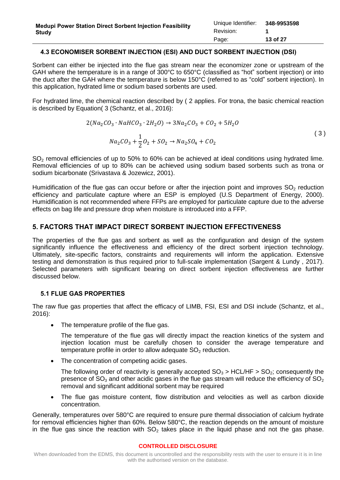### <span id="page-12-0"></span>**4.3 ECONOMISER SORBENT INJECTION (ESI) AND DUCT SORBENT INJECTION (DSI)**

Sorbent can either be injected into the flue gas stream near the economizer zone or upstream of the GAH where the temperature is in a range of 300°C to 650°C (classified as "hot" sorbent injection) or into the duct after the GAH where the temperature is below 150°C (referred to as "cold" sorbent injection). In this application, hydrated lime or sodium based sorbents are used.

For hydrated lime, the chemical reaction described by [\( 2](#page-11-3) applies. For trona, the basic chemical reaction is described by Equatio[n\( 3](#page-12-3) (Schantz, et al., 2016):

<span id="page-12-3"></span>
$$
2(Na_2CO_3 \cdot NaHCO_3 \cdot 2H_2O) \rightarrow 3Na_2CO_3 + CO_2 + 5H_2O
$$
  

$$
Na_2CO_3 + \frac{1}{2}O_2 + SO_2 \rightarrow Na_2SO_4 + CO_2
$$
 (3)

 $SO<sub>2</sub>$  removal efficiencies of up to 50% to 60% can be achieved at ideal conditions using hydrated lime. Removal efficiencies of up to 80% can be achieved using sodium based sorbents such as trona or sodium bicarbonate (Srivastava & Jozewicz, 2001).

Humidification of the flue gas can occur before or after the injection point and improves  $SO<sub>2</sub>$  reduction efficiency and particulate capture where an ESP is employed (U.S Department of Energy, 2000). Humidification is not recommended where FFPs are employed for particulate capture due to the adverse effects on bag life and pressure drop when moisture is introduced into a FFP.

## <span id="page-12-1"></span>**5. FACTORS THAT IMPACT DIRECT SORBENT INJECTION EFFECTIVENESS**

The properties of the flue gas and sorbent as well as the configuration and design of the system significantly influence the effectiveness and efficiency of the direct sorbent injection technology. Ultimately, site-specific factors, constraints and requirements will inform the application. Extensive testing and demonstration is thus required prior to full-scale implementation (Sargent & Lundy , 2017). Selected parameters with significant bearing on direct sorbent injection effectiveness are further discussed below.

### <span id="page-12-2"></span>**5.1 FLUE GAS PROPERTIES**

The raw flue gas properties that affect the efficacy of LIMB, FSI, ESI and DSI include (Schantz, et al., 2016):

• The temperature profile of the flue gas.

The temperature of the flue gas will directly impact the reaction kinetics of the system and injection location must be carefully chosen to consider the average temperature and temperature profile in order to allow adequate  $SO<sub>2</sub>$  reduction.

• The concentration of competing acidic gases.

The following order of reactivity is generally accepted  $SO_3 > HCL/HF > SO_2$ ; consequently the presence of  $SO<sub>3</sub>$  and other acidic gases in the flue gas stream will reduce the efficiency of  $SO<sub>2</sub>$ removal and significant additional sorbent may be required

 The flue gas moisture content, flow distribution and velocities as well as carbon dioxide concentration.

Generally, temperatures over 580°C are required to ensure pure thermal dissociation of calcium hydrate for removal efficiencies higher than 60%. Below 580°C, the reaction depends on the amount of moisture in the flue gas since the reaction with  $SO<sub>2</sub>$  takes place in the liquid phase and not the gas phase.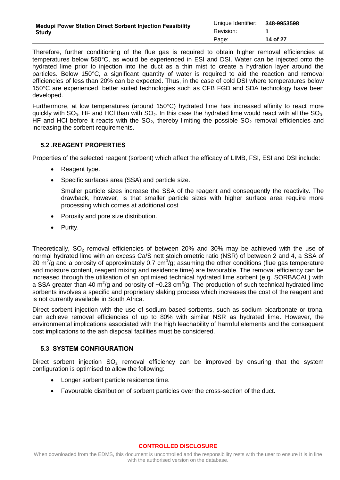| <b>Medupi Power Station Direct Sorbent Injection Feasibility</b> | Unique Identifier: 348-9953598 |          |  |
|------------------------------------------------------------------|--------------------------------|----------|--|
| Study                                                            | Revision:                      |          |  |
|                                                                  | Page:                          | 14 of 27 |  |

Therefore, further conditioning of the flue gas is required to obtain higher removal efficiencies at temperatures below 580°C, as would be experienced in ESI and DSI. Water can be injected onto the hydrated lime prior to injection into the duct as a thin mist to create a hydration layer around the particles. Below 150°C, a significant quantity of water is required to aid the reaction and removal efficiencies of less than 20% can be expected. Thus, in the case of cold DSI where temperatures below 150°C are experienced, better suited technologies such as CFB FGD and SDA technology have been developed.

Furthermore, at low temperatures (around 150°C) hydrated lime has increased affinity to react more quickly with  $SO_3$ , HF and HCl than with  $SO_2$ . In this case the hydrated lime would react with all the  $SO_3$ . HF and HCl before it reacts with the  $SO<sub>2</sub>$ , thereby limiting the possible  $SO<sub>2</sub>$  removal efficiencies and increasing the sorbent requirements.

## <span id="page-13-0"></span>**5.2 .REAGENT PROPERTIES**

Properties of the selected reagent (sorbent) which affect the efficacy of LIMB, FSI, ESI and DSI include:

- Reagent type.
- Specific surfaces area (SSA) and particle size.

Smaller particle sizes increase the SSA of the reagent and consequently the reactivity. The drawback, however, is that smaller particle sizes with higher surface area require more processing which comes at additional cost

- Porosity and pore size distribution.
- Purity.

Theoretically,  $SO_2$  removal efficiencies of between 20% and 30% may be achieved with the use of normal hydrated lime with an excess Ca/S nett stoichiometric ratio (NSR) of between 2 and 4, a SSA of 20 m<sup>2</sup>/g and a porosity of approximately 0.7 cm<sup>3</sup>/g; assuming the other conditions (flue gas temperature and moisture content, reagent mixing and residence time) are favourable. The removal efficiency can be increased through the utilisation of an optimised technical hydrated lime sorbent (e.g. SORBACAL) with a SSA greater than 40 m<sup>2</sup>/g and porosity of ~0.23 cm<sup>3</sup>/g. The production of such technical hydrated lime sorbents involves a specific and proprietary slaking process which increases the cost of the reagent and is not currently available in South Africa.

Direct sorbent injection with the use of sodium based sorbents, such as sodium bicarbonate or trona, can achieve removal efficiencies of up to 80% with similar NSR as hydrated lime. However, the environmental implications associated with the high leachability of harmful elements and the consequent cost implications to the ash disposal facilities must be considered.

### <span id="page-13-1"></span>**5.3 SYSTEM CONFIGURATION**

Direct sorbent injection  $SO<sub>2</sub>$  removal efficiency can be improved by ensuring that the system configuration is optimised to allow the following:

- Longer sorbent particle residence time.
- Favourable distribution of sorbent particles over the cross-section of the duct.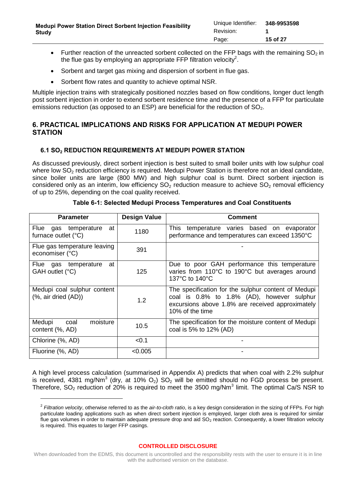- Further reaction of the unreacted sorbent collected on the FFP bags with the remaining  $SO<sub>2</sub>$  in the flue gas by employing an appropriate FFP filtration velocity<sup>2</sup>.
- Sorbent and target gas mixing and dispersion of sorbent in flue gas.
- Sorbent flow rates and quantity to achieve optimal NSR.

Multiple injection trains with strategically positioned nozzles based on flow conditions, longer duct length post sorbent injection in order to extend sorbent residence time and the presence of a FFP for particulate emissions reduction (as opposed to an ESP) are beneficial for the reduction of  $SO<sub>2</sub>$ .

# <span id="page-14-0"></span>**6. PRACTICAL IMPLICATIONS AND RISKS FOR APPLICATION AT MEDUPI POWER STATION**

## <span id="page-14-1"></span>**6.1 SO<sup>2</sup> REDUCTION REQUIREMENTS AT MEDUPI POWER STATION**

As discussed previously, direct sorbent injection is best suited to small boiler units with low sulphur coal where low  $SO<sub>2</sub>$  reduction efficiency is required. Medupi Power Station is therefore not an ideal candidate, since boiler units are large (800 MW) and high sulphur coal is burnt. Direct sorbent injection is considered only as an interim, low efficiency  $SO<sub>2</sub>$  reduction measure to achieve  $SO<sub>2</sub>$  removal efficiency of up to 25%, depending on the coal quality received.

<span id="page-14-2"></span>

| <b>Parameter</b>                                                    | <b>Design Value</b> | <b>Comment</b>                                                                                                                                                           |
|---------------------------------------------------------------------|---------------------|--------------------------------------------------------------------------------------------------------------------------------------------------------------------------|
| gas temperature<br>Flue<br>at<br>furnace outlet (°C)                | 1180                | This<br>temperature varies based on evaporator<br>performance and temperatures can exceed 1350°C                                                                         |
| Flue gas temperature leaving<br>economiser (°C)                     | 391                 |                                                                                                                                                                          |
| gas temperature<br>at<br>Flue<br>GAH outlet (°C)                    | 125                 | Due to poor GAH performance this temperature<br>varies from 110°C to 190°C but averages around<br>137°C to 140°C                                                         |
| Medupi coal sulphur content<br>$(% )^{2}(9, 10)$ air dried $(AD)$ ) | 1.2                 | The specification for the sulphur content of Medupi<br>coal is 0.8% to 1.8% (AD), however sulphur<br>excursions above 1.8% are received approximately<br>10% of the time |
| moisture<br>Medupi<br>coal<br>content (%, AD)                       | 10.5                | The specification for the moisture content of Medupi<br>coal is 5% to 12% (AD)                                                                                           |
| Chlorine (%, AD)                                                    | < 0.1               |                                                                                                                                                                          |
| Fluorine (%, AD)                                                    | < 0.005             |                                                                                                                                                                          |

**Table 6-1: Selected Medupi Process Temperatures and Coal Constituents** 

A high level process calculation (summarised in Appendix A) predicts that when coal with 2.2% sulphur is received, 4381 mg/Nm<sup>3</sup> (dry, at 10%  $O_2$ ) SO<sub>2</sub> will be emitted should no FGD process be present. Therefore,  $SO_2$  reduction of 20% is required to meet the 3500 mg/Nm<sup>3</sup> limit. The optimal Ca/S NSR to

<sup>2</sup> *Filtration velocity*, otherwise referred to as the *air-to-cloth ratio*, is a key design consideration in the sizing of FFPs. For high particulate loading applications such as when direct sorbent injection is employed, larger cloth area is required for similar flue gas volumes in order to maintain adequate pressure drop and aid  $SO<sub>2</sub>$  reaction. Consequently, a lower filtration velocity is required. This equates to larger FFP casings.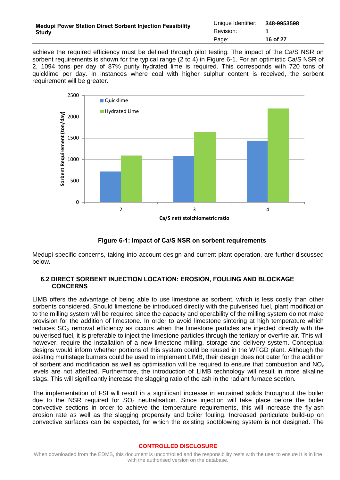| <b>Medupi Power Station Direct Sorbent Injection Feasibility</b> | Unique Identifier: | 348-9953598 |
|------------------------------------------------------------------|--------------------|-------------|
| <b>Study</b>                                                     | Revision:          |             |
|                                                                  | Page:              | 16 of 27    |

achieve the required efficiency must be defined through pilot testing. The impact of the Ca/S NSR on sorbent requirements is shown for the typical range (2 to 4) in [Figure 6-1.](#page-15-1) For an optimistic Ca/S NSR of 2, 1094 tons per day of 87% purity hydrated lime is required. This corresponds with 720 tons of quicklime per day. In instances where coal with higher sulphur content is received, the sorbent requirement will be greater.



**Figure 6-1: Impact of Ca/S NSR on sorbent requirements**

<span id="page-15-1"></span>Medupi specific concerns, taking into account design and current plant operation, are further discussed below.

### <span id="page-15-0"></span>**6.2 DIRECT SORBENT INJECTION LOCATION: EROSION, FOULING AND BLOCKAGE CONCERNS**

LIMB offers the advantage of being able to use limestone as sorbent, which is less costly than other sorbents considered. Should limestone be introduced directly with the pulverised fuel, plant modification to the milling system will be required since the capacity and operability of the milling system do not make provision for the addition of limestone. In order to avoid limestone sintering at high temperature which reduces SO<sub>2</sub> removal efficiency as occurs when the limestone particles are injected directly with the pulverised fuel, it is preferable to inject the limestone particles through the tertiary or overfire air. This will however, require the installation of a new limestone milling, storage and delivery system. Conceptual designs would inform whether portions of this system could be reused in the WFGD plant. Although the existing multistage burners could be used to implement LIMB, their design does not cater for the addition of sorbent and modification as well as optimisation will be required to ensure that combustion and  $NO<sub>x</sub>$ levels are not affected. Furthermore, the introduction of LIMB technology will result in more alkaline slags. This will significantly increase the slagging ratio of the ash in the radiant furnace section.

The implementation of FSI will result in a significant increase in entrained solids throughout the boiler due to the NSR required for  $SO_2$  neutralisation. Since injection will take place before the boiler convective sections in order to achieve the temperature requirements, this will increase the fly-ash erosion rate as well as the slagging propensity and boiler fouling. Increased particulate build-up on convective surfaces can be expected, for which the existing sootblowing system is not designed. The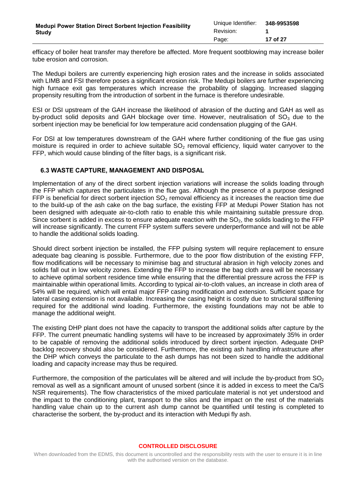efficacy of boiler heat transfer may therefore be affected. More frequent sootblowing may increase boiler tube erosion and corrosion.

The Medupi boilers are currently experiencing high erosion rates and the increase in solids associated with LIMB and FSI therefore poses a significant erosion risk. The Medupi boilers are further experiencing high furnace exit gas temperatures which increase the probability of slagging. Increased slagging propensity resulting from the introduction of sorbent in the furnace is therefore undesirable.

ESI or DSI upstream of the GAH increase the likelihood of abrasion of the ducting and GAH as well as by-product solid deposits and GAH blockage over time. However, neutralisation of  $SO<sub>3</sub>$  due to the sorbent injection may be beneficial for low temperature acid condensation plugging of the GAH.

For DSI at low temperatures downstream of the GAH where further conditioning of the flue gas using moisture is required in order to achieve suitable  $SO<sub>2</sub>$  removal efficiency, liquid water carryover to the FFP, which would cause blinding of the filter bags, is a significant risk.

### <span id="page-16-0"></span>**6.3 WASTE CAPTURE, MANAGEMENT AND DISPOSAL**

Implementation of any of the direct sorbent injection variations will increase the solids loading through the FFP which captures the particulates in the flue gas. Although the presence of a purpose designed FFP is beneficial for direct sorbent injection  $SO<sub>2</sub>$  removal efficiency as it increases the reaction time due to the build-up of the ash cake on the bag surface, the existing FFP at Medupi Power Station has not been designed with adequate air-to-cloth ratio to enable this while maintaining suitable pressure drop. Since sorbent is added in excess to ensure adequate reaction with the  $SO<sub>2</sub>$ , the solids loading to the FFP will increase significantly. The current FFP system suffers severe underperformance and will not be able to handle the additional solids loading.

Should direct sorbent injection be installed, the FFP pulsing system will require replacement to ensure adequate bag cleaning is possible. Furthermore, due to the poor flow distribution of the existing FFP, flow modifications will be necessary to minimise bag and structural abrasion in high velocity zones and solids fall out in low velocity zones. Extending the FFP to increase the bag cloth area will be necessary to achieve optimal sorbent residence time while ensuring that the differential pressure across the FFP is maintainable within operational limits. According to typical air-to-cloth values, an increase in cloth area of 54% will be required, which will entail major FFP casing modification and extension. Sufficient space for lateral casing extension is not available. Increasing the casing height is costly due to structural stiffening required for the additional wind loading. Furthermore, the existing foundations may not be able to manage the additional weight.

The existing DHP plant does not have the capacity to transport the additional solids after capture by the FFP. The current pneumatic handling systems will have to be increased by approximately 35% in order to be capable of removing the additional solids introduced by direct sorbent injection. Adequate DHP backlog recovery should also be considered. Furthermore, the existing ash handling infrastructure after the DHP which conveys the particulate to the ash dumps has not been sized to handle the additional loading and capacity increase may thus be required.

Furthermore, the composition of the particulates will be altered and will include the by-product from  $SO<sub>2</sub>$ removal as well as a significant amount of unused sorbent (since it is added in excess to meet the Ca/S NSR requirements). The flow characteristics of the mixed particulate material is not yet understood and the impact to the conditioning plant, transport to the silos and the impact on the rest of the materials handling value chain up to the current ash dump cannot be quantified until testing is completed to characterise the sorbent, the by-product and its interaction with Medupi fly ash.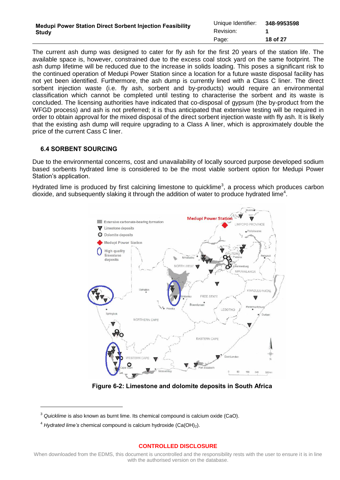| <b>Medupi Power Station Direct Sorbent Injection Feasibility</b> | Unique Identifier: | 348-9953598 |  |
|------------------------------------------------------------------|--------------------|-------------|--|
| Study                                                            | Revision:          |             |  |
|                                                                  | Page:              | 18 of 27    |  |

The current ash dump was designed to cater for fly ash for the first 20 years of the station life. The available space is, however, constrained due to the excess coal stock yard on the same footprint. The ash dump lifetime will be reduced due to the increase in solids loading. This poses a significant risk to the continued operation of Medupi Power Station since a location for a future waste disposal facility has not yet been identified. Furthermore, the ash dump is currently lined with a Class C liner. The direct sorbent injection waste (i.e. fly ash, sorbent and by-products) would require an environmental classification which cannot be completed until testing to characterise the sorbent and its waste is concluded. The licensing authorities have indicated that co-disposal of gypsum (the by-product from the WFGD process) and ash is not preferred; it is thus anticipated that extensive testing will be required in order to obtain approval for the mixed disposal of the direct sorbent injection waste with fly ash. It is likely that the existing ash dump will require upgrading to a Class A liner, which is approximately double the price of the current Cass C liner.

## <span id="page-17-0"></span>**6.4 SORBENT SOURCING**

Due to the environmental concerns, cost and unavailability of locally sourced purpose developed sodium based sorbents hydrated lime is considered to be the most viable sorbent option for Medupi Power Station's application.

Hydrated lime is produced by first calcining limestone to quicklime<sup>3</sup>, a process which produces carbon dioxide, and subsequently slaking it through the addition of water to produce hydrated lime<sup>4</sup>.



**Figure 6-2: Limestone and dolomite deposits in South Africa** 

<span id="page-17-1"></span> $\overline{a}$ 

<sup>3</sup> *Quicklime* is also known as burnt lime. Its chemical compound is calcium oxide (CaO).

<sup>4</sup> *Hydrated lime's* chemical compound is calcium hydroxide (Ca(OH)2).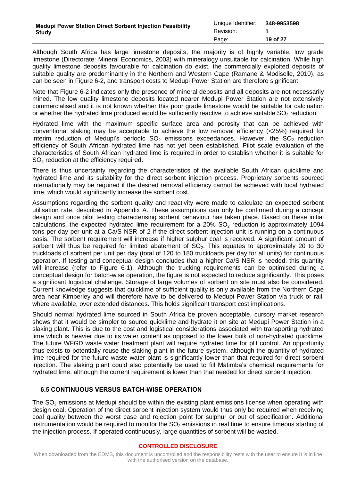Although South Africa has large limestone deposits, the majority is of highly variable, low grade limestone (Directorate: Mineral Economics, 2003) with mineralogy unsuitable for calcination. While high quality limestone deposits favourable for calcination do exist, the commercially exploited deposits of suitable quality are predominantly in the Northern and Western Cape (Ramane & Modiselle, 2010), as can be seen in [Figure 6-2,](#page-17-1) and transport costs to Medupi Power Station are therefore significant.

Note that [Figure 6-2](#page-17-1) indicates only the presence of mineral deposits and all deposits are not necessarily mined. The low quality limestone deposits located nearer Medupi Power Station are not extensively commercialised and it is not known whether this poor grade limestone would be suitable for calcination or whether the hydrated lime produced would be sufficiently reactive to achieve suitable  $SO<sub>2</sub>$  reduction.

Hydrated lime with the maximum specific surface area and porosity that can be achieved with conventional slaking may be acceptable to achieve the low removal efficiency (<25%) required for interim reduction of Medupi's periodic  $SO_2$  emissions exceedances. However, the  $SO_2$  reduction efficiency of South African hydrated lime has not yet been established. Pilot scale evaluation of the characteristics of South African hydrated lime is required in order to establish whether it is suitable for SO<sub>2</sub> reduction at the efficiency required.

There is thus uncertainty regarding the characteristics of the available South African quicklime and hydrated lime and its suitability for the direct sorbent injection process. Proprietary sorbents sourced internationally may be required if the desired removal efficiency cannot be achieved with local hydrated lime, which would significantly increase the sorbent cost.

Assumptions regarding the sorbent quality and reactivity were made to calculate an expected sorbent utilisation rate, described in Appendix A. These assumptions can only be confirmed during a concept design and once pilot testing characterising sorbent behaviour has taken place. Based on these initial calculations, the expected hydrated lime requirement for a  $20\%$  SO<sub>2</sub> reduction is approximately 1094 tons per day per unit at a Ca/S NSR of 2 if the direct sorbent injection unit is running on a continuous basis. The sorbent requirement will increase if higher sulphur coal is received. A significant amount of sorbent will thus be required for limited abatement of  $SO_2$ . This equates to approximately 20 to 30 truckloads of sorbent per unit per day (total of 120 to 180 truckloads per day for all units) for continuous operation. If testing and conceptual design concludes that a higher Ca/S NSR is needed, this quantity will increase (refer to [Figure 6-1\)](#page-15-1). Although the trucking requirements can be optimised during a conceptual design for batch-wise operation, the figure is not expected to reduce significantly. This poses a significant logistical challenge. Storage of large volumes of sorbent on site must also be considered. Current knowledge suggests that quicklime of sufficient quality is only available from the Northern Cape area near Kimberley and will therefore have to be delivered to Medupi Power Station via truck or rail, where available, over extended distances. This holds significant transport cost implications.

Should normal hydrated lime sourced in South Africa be proven acceptable, cursory market research shows that it would be simpler to source quicklime and hydrate it on site at Medupi Power Station in a slaking plant. This is due to the cost and logistical considerations associated with transporting hydrated lime which is heavier due to its water content as opposed to the lower bulk of non-hydrated quicklime. The future WFGD waste water treatment plant will require hydrated lime for pH control. An opportunity thus exists to potentially reuse the slaking plant in the future system, although the quantity of hydrated lime required for the future waste water plant is significantly lower than that required for direct sorbent injection. The slaking plant could also potentially be used to fill Matimba's chemical requirements for hydrated lime, although the current requirement is lower than that needed for direct sorbent injection.

# <span id="page-18-0"></span>**6.5 CONTINUOUS VERSUS BATCH-WISE OPERATION**

The  $SO<sub>2</sub>$  emissions at Medupi should be within the existing plant emissions license when operating with design coal. Operation of the direct sorbent injection system would thus only be required when receiving coal quality between the worst case and rejection point for sulphur or out of specification. Additional instrumentation would be required to monitor the  $SO<sub>2</sub>$  emissions in real time to ensure timeous starting of the injection process. If operated continuously, large quantities of sorbent will be wasted.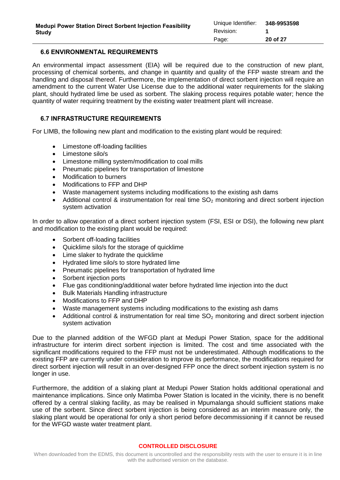### <span id="page-19-0"></span>**6.6 ENVIRONMENTAL REQUIREMENTS**

An environmental impact assessment (EIA) will be required due to the construction of new plant, processing of chemical sorbents, and change in quantity and quality of the FFP waste stream and the handling and disposal thereof. Furthermore, the implementation of direct sorbent injection will require an amendment to the current Water Use License due to the additional water requirements for the slaking plant, should hydrated lime be used as sorbent. The slaking process requires potable water; hence the quantity of water requiring treatment by the existing water treatment plant will increase.

### <span id="page-19-1"></span>**6.7 INFRASTRUCTURE REQUIREMENTS**

For LIMB, the following new plant and modification to the existing plant would be required:

- Limestone off-loading facilities
- $\bullet$  Limestone silo/s
- Limestone milling system/modification to coal mills
- Pneumatic pipelines for transportation of limestone
- Modification to burners
- Modifications to FFP and DHP
- Waste management systems including modifications to the existing ash dams
- Additional control & instrumentation for real time  $SO<sub>2</sub>$  monitoring and direct sorbent injection system activation

In order to allow operation of a direct sorbent injection system (FSI, ESI or DSI), the following new plant and modification to the existing plant would be required:

- Sorbent off-loading facilities
- Quicklime silo/s for the storage of quicklime
- Lime slaker to hydrate the quicklime
- Hydrated lime silo/s to store hydrated lime
- Pneumatic pipelines for transportation of hydrated lime
- Sorbent injection ports
- Flue gas conditioning/additional water before hydrated lime injection into the duct
- Bulk Materials Handling infrastructure
- Modifications to FFP and DHP
- Waste management systems including modifications to the existing ash dams
- Additional control & instrumentation for real time  $SO<sub>2</sub>$  monitoring and direct sorbent injection system activation

Due to the planned addition of the WFGD plant at Medupi Power Station, space for the additional infrastructure for interim direct sorbent injection is limited. The cost and time associated with the significant modifications required to the FFP must not be underestimated. Although modifications to the existing FFP are currently under consideration to improve its performance, the modifications required for direct sorbent injection will result in an over-designed FFP once the direct sorbent injection system is no longer in use.

Furthermore, the addition of a slaking plant at Medupi Power Station holds additional operational and maintenance implications. Since only Matimba Power Station is located in the vicinity, there is no benefit offered by a central slaking facility, as may be realised in Mpumalanga should sufficient stations make use of the sorbent. Since direct sorbent injection is being considered as an interim measure only, the slaking plant would be operational for only a short period before decommissioning if it cannot be reused for the WFGD waste water treatment plant.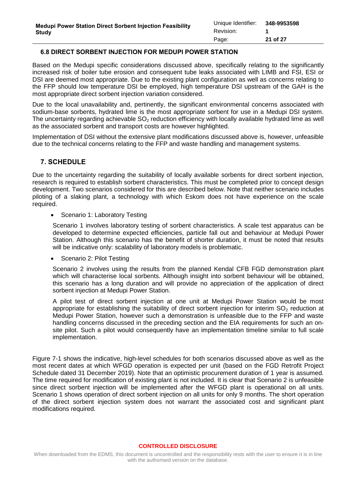## <span id="page-20-0"></span>**6.8 DIRECT SORBENT INJECTION FOR MEDUPI POWER STATION**

Based on the Medupi specific considerations discussed above, specifically relating to the significantly increased risk of boiler tube erosion and consequent tube leaks associated with LIMB and FSI, ESI or DSI are deemed most appropriate. Due to the existing plant configuration as well as concerns relating to the FFP should low temperature DSI be employed, high temperature DSI upstream of the GAH is the most appropriate direct sorbent injection variation considered.

Due to the local unavailability and, pertinently, the significant environmental concerns associated with sodium-base sorbents, hydrated lime is the most appropriate sorbent for use in a Medupi DSI system. The uncertainty regarding achievable  $SO<sub>2</sub>$  reduction efficiency with locally available hydrated lime as well as the associated sorbent and transport costs are however highlighted.

Implementation of DSI without the extensive plant modifications discussed above is, however, unfeasible due to the technical concerns relating to the FFP and waste handling and management systems.

# <span id="page-20-1"></span>**7. SCHEDULE**

Due to the uncertainty regarding the suitability of locally available sorbents for direct sorbent injection, research is required to establish sorbent characteristics. This must be completed prior to concept design development. Two scenarios considered for this are described below. Note that neither scenario includes piloting of a slaking plant, a technology with which Eskom does not have experience on the scale required.

• Scenario 1: Laboratory Testing

Scenario 1 involves laboratory testing of sorbent characteristics. A scale test apparatus can be developed to determine expected efficiencies, particle fall out and behaviour at Medupi Power Station. Although this scenario has the benefit of shorter duration, it must be noted that results will be indicative only: scalability of laboratory models is problematic.

Scenario 2: Pilot Testing

Scenario 2 involves using the results from the planned Kendal CFB FGD demonstration plant which will characterise local sorbents. Although insight into sorbent behaviour will be obtained, this scenario has a long duration and will provide no appreciation of the application of direct sorbent injection at Medupi Power Station.

A pilot test of direct sorbent injection at one unit at Medupi Power Station would be most appropriate for establishing the suitability of direct sorbent injection for interim  $SO<sub>2</sub>$  reduction at Medupi Power Station, however such a demonstration is unfeasible due to the FFP and waste handling concerns discussed in the preceding section and the EIA requirements for such an onsite pilot. Such a pilot would consequently have an implementation timeline similar to full scale implementation.

[Figure 7-1](#page-21-1) shows the indicative, high-level schedules for both scenarios discussed above as well as the most recent dates at which WFGD operation is expected per unit (based on the FGD Retrofit Project Schedule dated 31 December 2019). Note that an optimistic procurement duration of 1 year is assumed. The time required for modification of existing plant is not included. It is clear that Scenario 2 is unfeasible since direct sorbent injection will be implemented after the WFGD plant is operational on all units. Scenario 1 shows operation of direct sorbent injection on all units for only 9 months. The short operation of the direct sorbent injection system does not warrant the associated cost and significant plant modifications required.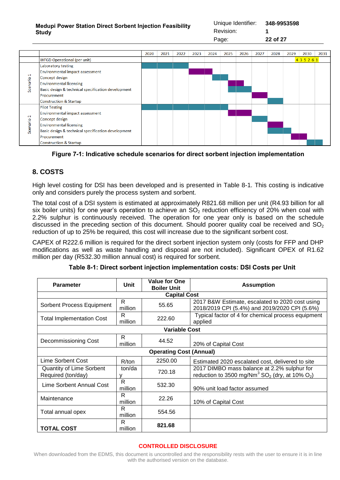### **Medupi Power Station Direct Sorbent Injection Feasibility Study**

Unique Identifier: **348-9953598** Revision: **1** Page: **22 of 27**



## <span id="page-21-1"></span>**Figure 7-1: Indicative schedule scenarios for direct sorbent injection implementation**

# <span id="page-21-0"></span>**8. COSTS**

High level costing for DSI has been developed and is presented in [Table 8-1.](#page-21-2) This costing is indicative only and considers purely the process system and sorbent.

The total cost of a DSI system is estimated at approximately R821.68 million per unit (R4.93 billion for all six boiler units) for one year's operation to achieve an  $SO<sub>2</sub>$  reduction efficiency of 20% when coal with 2.2% sulphur is continuously received. The operation for one year only is based on the schedule discussed in the preceding section of this document. Should poorer quality coal be received and  $SO_2$ reduction of up to 25% be required, this cost will increase due to the significant sorbent cost.

CAPEX of R222.6 million is required for the direct sorbent injection system only (costs for FFP and DHP modifications as well as waste handling and disposal are not included). Significant OPEX of R1.62 million per day (R532.30 million annual cost) is required for sorbent.

| Table 8-1: Direct sorbent injection implementation costs: DSI Costs per Unit |  |  |  |
|------------------------------------------------------------------------------|--|--|--|
|------------------------------------------------------------------------------|--|--|--|

<span id="page-21-2"></span>

| <b>Parameter</b>                                      | Unit                           | <b>Value for One</b><br><b>Boiler Unit</b> | <b>Assumption</b>                                                                                                                 |  |  |  |
|-------------------------------------------------------|--------------------------------|--------------------------------------------|-----------------------------------------------------------------------------------------------------------------------------------|--|--|--|
| <b>Capital Cost</b>                                   |                                |                                            |                                                                                                                                   |  |  |  |
| Sorbent Process Equipment                             | R<br>million                   | 55.65                                      | 2017 B&W Estimate, escalated to 2020 cost using<br>2018/2019 CPI (5.4%) and 2019/2020 CPI (5.6%)                                  |  |  |  |
| <b>Total Implementation Cost</b>                      | R<br>million                   | 222.60                                     | Typical factor of 4 for chemical process equipment<br>applied                                                                     |  |  |  |
| <b>Variable Cost</b>                                  |                                |                                            |                                                                                                                                   |  |  |  |
| Decommissioning Cost                                  | R<br>million                   | 44.52                                      | 20% of Capital Cost                                                                                                               |  |  |  |
|                                                       | <b>Operating Cost (Annual)</b> |                                            |                                                                                                                                   |  |  |  |
| Lime Sorbent Cost                                     | R/ton                          | 2250.00                                    | Estimated 2020 escalated cost, delivered to site                                                                                  |  |  |  |
| <b>Quantity of Lime Sorbent</b><br>Required (ton/day) | ton/da                         | 720.18                                     | 2017 DIMBO mass balance at 2.2% sulphur for<br>reduction to 3500 mg/Nm <sup>3</sup> SO <sub>2</sub> (dry, at 10% O <sub>2</sub> ) |  |  |  |
| Lime Sorbent Annual Cost                              | R<br>million                   | 532.30                                     | 90% unit load factor assumed                                                                                                      |  |  |  |
| Maintenance                                           | R<br>million                   | 22.26                                      | 10% of Capital Cost                                                                                                               |  |  |  |
| Total annual opex                                     | R<br>million                   | 554.56                                     |                                                                                                                                   |  |  |  |
| <b>TOTAL COST</b>                                     | R<br>million                   | 821.68                                     |                                                                                                                                   |  |  |  |

### **CONTROLLED DISCLOSURE**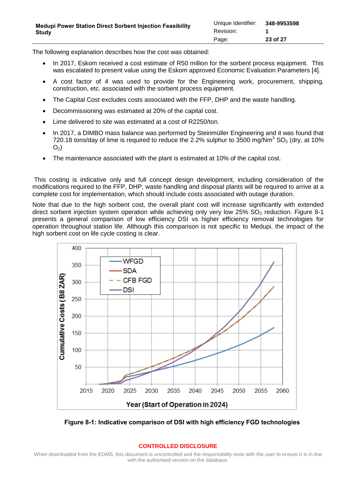The following explanation describes how the cost was obtained:

- In 2017, Eskom received a cost estimate of R50 million for the sorbent process equipment. This was escalated to present value using the Eskom approved Economic Evaluation Parameters [\[4\].](#page-6-7)
- A cost factor of 4 was used to provide for the Engineering work, procurement, shipping, construction, etc. associated with the sorbent process equipment.
- The Capital Cost excludes costs associated with the FFP, DHP and the waste handling.
- Decommissioning was estimated at 20% of the capital cost.
- Lime delivered to site was estimated at a cost of R2250/ton.
- In 2017, a DIMBO mass balance was performed by Steinmüller Engineering and it was found that 720.18 tons/day of lime is required to reduce the 2.2% sulphur to  $3500 \text{ mg/Nm}^3$  SO<sub>2</sub> (dry, at 10%)  $O<sub>2</sub>$ )
- The maintenance associated with the plant is estimated at 10% of the capital cost.

This costing is indicative only and full concept design development, including consideration of the modifications required to the FFP, DHP, waste handling and disposal plants will be required to arrive at a complete cost for implementation, which should include costs associated with outage duration.

Note that due to the high sorbent cost, the overall plant cost will increase significantly with extended direct sorbent injection system operation while achieving only very low  $25\%$  SO<sub>2</sub> reduction. [Figure 8-1](#page-22-0) presents a general comparison of low efficiency DSI vs higher efficiency removal technologies for operation throughout station life. Although this comparison is not specific to Medupi, the impact of the high sorbent cost on life cycle costing is clear.



<span id="page-22-0"></span>**Figure 8-1: Indicative comparison of DSI with high efficiency FGD technologies**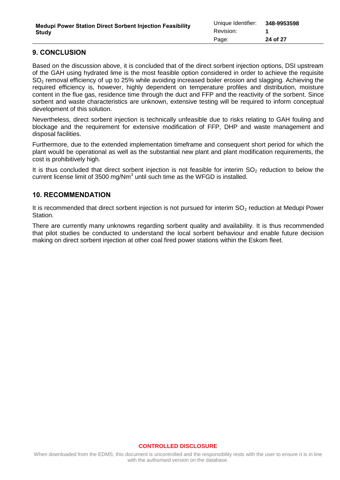# <span id="page-23-0"></span>**9. CONCLUSION**

Based on the discussion above, it is concluded that of the direct sorbent injection options, DSI upstream of the GAH using hydrated lime is the most feasible option considered in order to achieve the requisite SO<sub>2</sub> removal efficiency of up to 25% while avoiding increased boiler erosion and slagging. Achieving the required efficiency is, however, highly dependent on temperature profiles and distribution, moisture content in the flue gas, residence time through the duct and FFP and the reactivity of the sorbent. Since sorbent and waste characteristics are unknown, extensive testing will be required to inform conceptual development of this solution.

Nevertheless, direct sorbent injection is technically unfeasible due to risks relating to GAH fouling and blockage and the requirement for extensive modification of FFP, DHP and waste management and disposal facilities.

Furthermore, due to the extended implementation timeframe and consequent short period for which the plant would be operational as well as the substantial new plant and plant modification requirements, the cost is prohibitively high.

It is thus concluded that direct sorbent injection is not feasible for interim  $SO<sub>2</sub>$  reduction to below the current license limit of 3500 mg/Nm<sup>3</sup> until such time as the WFGD is installed.

## <span id="page-23-1"></span>**10. RECOMMENDATION**

It is recommended that direct sorbent injection is not pursued for interim  $SO<sub>2</sub>$  reduction at Medupi Power Station.

There are currently many unknowns regarding sorbent quality and availability. It is thus recommended that pilot studies be conducted to understand the local sorbent behaviour and enable future decision making on direct sorbent injection at other coal fired power stations within the Eskom fleet.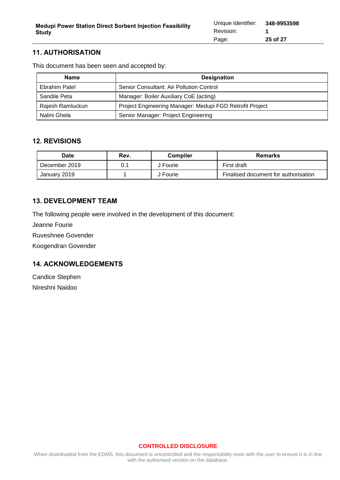# <span id="page-24-0"></span>**11. AUTHORISATION**

This document has been seen and accepted by:

| <b>Name</b>      | <b>Designation</b>                                       |
|------------------|----------------------------------------------------------|
| Ebrahim Patel    | Senior Consultant: Air Pollution Control                 |
| Sandile Peta     | Manager: Boiler Auxiliary CoE (acting)                   |
| Rajesh Ramluckun | Project Engineering Manager: Medupi FGD Retrofit Project |
| Nalini Ghela     | Senior Manager: Project Engineering                      |

## <span id="page-24-1"></span>**12. REVISIONS**

| <b>Date</b>   | Rev.   | <b>Compiler</b> | Remarks                              |  |  |
|---------------|--------|-----------------|--------------------------------------|--|--|
| December 2019 | $0.$ . | J Fourie        | First draft                          |  |  |
| January 2019  |        | J Fourie        | Finalised document for authorisation |  |  |

# <span id="page-24-2"></span>**13. DEVELOPMENT TEAM**

The following people were involved in the development of this document:

Jeanne Fourie

Ruveshnee Govender

Koogendran Govender

# <span id="page-24-3"></span>**14. ACKNOWLEDGEMENTS**

Candice Stephen Nireshni Naidoo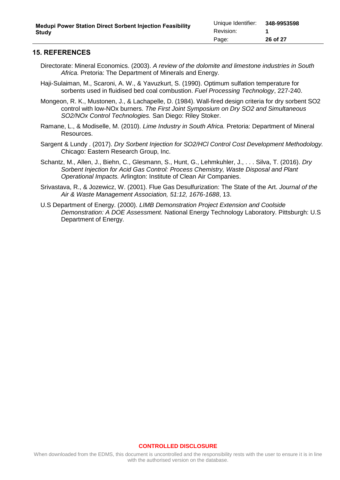### <span id="page-25-0"></span>**15. REFERENCES**

- Directorate: Mineral Economics. (2003). *A review of the dolomite and limestone industries in South Africa.* Pretoria: The Department of Minerals and Energy.
- Haji-Sulaiman, M., Scaroni, A. W., & Yavuzkurt, S. (1990). Optimum sulfation temperature for sorbents used in fluidised bed coal combustion. *Fuel Processing Technology*, 227-240.
- Mongeon, R. K., Mustonen, J., & Lachapelle, D. (1984). Wall-fired design criteria for dry sorbent SO2 control with low-NOx burners. *The First Joint Symposium on Dry SO2 and Simultaneous SO2/NOx Control Technologies.* San Diego: Riley Stoker.
- Ramane, L., & Modiselle, M. (2010). *Lime Industry in South Africa.* Pretoria: Department of Mineral Resources.
- Sargent & Lundy . (2017). *Dry Sorbent Injection for SO2/HCl Control Cost Development Methodology.* Chicago: Eastern Research Group, Inc.
- Schantz, M., Allen, J., Biehn, C., Glesmann, S., Hunt, G., Lehmkuhler, J., . . . Silva, T. (2016). *Dry Sorbent Injection for Acid Gas Control: Process Chemistry, Waste Disposal and Plant Operational Impacts.* Arlington: Institute of Clean Air Companies.
- Srivastava, R., & Jozewicz, W. (2001). Flue Gas Desulfurization: The State of the Art. *Journal of the Air & Waste Management Association, 51:12, 1676-1688*, 13.
- U.S Department of Energy. (2000). *LIMB Demonstration Project Extension and Coolside Demonstration: A DOE Assessment.* National Energy Technology Laboratory. Pittsburgh: U.S Department of Energy.